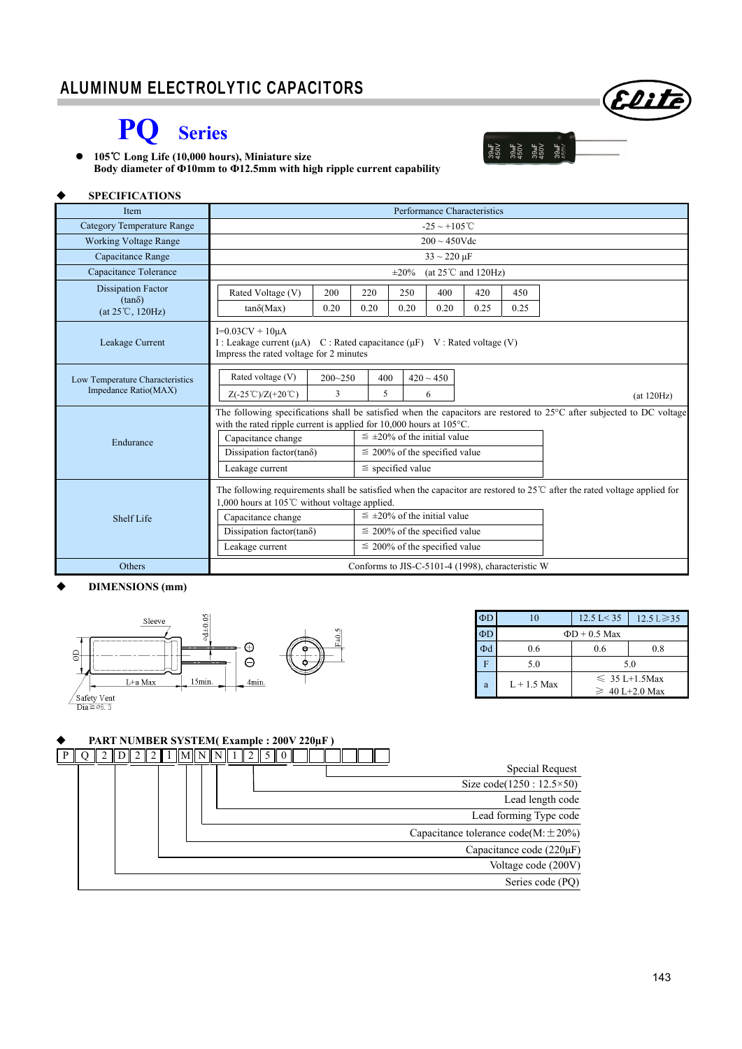# **PQ Series**

 **105 Long Life (10,000 hours),** ℃ **Miniature size Body diameter of Ф10mm to Ф12.5mm with high ripple current capability** 

#### **SPECIFICATIONS**

| Item                                                                    | Performance Characteristics                                                                                                                                                                               |                                      |                                    |      |                                    |      |      |            |
|-------------------------------------------------------------------------|-----------------------------------------------------------------------------------------------------------------------------------------------------------------------------------------------------------|--------------------------------------|------------------------------------|------|------------------------------------|------|------|------------|
| Category Temperature Range                                              | $-25 \sim +105^{\circ}C$                                                                                                                                                                                  |                                      |                                    |      |                                    |      |      |            |
| <b>Working Voltage Range</b>                                            | $200 \sim 450$ Vdc                                                                                                                                                                                        |                                      |                                    |      |                                    |      |      |            |
| Capacitance Range                                                       | $33 \sim 220 \,\mu F$                                                                                                                                                                                     |                                      |                                    |      |                                    |      |      |            |
| Capacitance Tolerance                                                   | (at $25^{\circ}$ C and $120$ Hz)<br>$\pm 20\%$                                                                                                                                                            |                                      |                                    |      |                                    |      |      |            |
| <b>Dissipation Factor</b><br>$(tan\delta)$<br>$(at 25^{\circ}C, 120Hz)$ | Rated Voltage (V)                                                                                                                                                                                         | 200                                  | 220                                | 250  | 400                                | 420  | 450  |            |
|                                                                         | $tan\delta(Max)$                                                                                                                                                                                          | 0.20                                 | 0.20                               | 0.20 | 0.20                               | 0.25 | 0.25 |            |
| Leakage Current                                                         | $I=0.03CV + 10\mu A$<br>I : Leakage current ( $\mu$ A) C : Rated capacitance ( $\mu$ F) V : Rated voltage (V)<br>Impress the rated voltage for 2 minutes                                                  |                                      |                                    |      |                                    |      |      |            |
| Low Temperature Characteristics<br>Impedance Ratio(MAX)                 | Rated voltage (V)                                                                                                                                                                                         | $200 - 250$                          | 400                                |      | $420 \sim 450$                     |      |      |            |
|                                                                         | $Z(-25^{\circ}\text{C})/Z(+20^{\circ}\text{C})$                                                                                                                                                           | 3                                    | 5                                  |      | 6                                  |      |      | (at 120Hz) |
|                                                                         | The following specifications shall be satisfied when the capacitors are restored to 25°C after subjected to DC voltage<br>with the rated ripple current is applied for $10,000$ hours at $105^{\circ}$ C. |                                      |                                    |      |                                    |      |      |            |
| Endurance                                                               | Capacitance change                                                                                                                                                                                        | $\leq \pm 20\%$ of the initial value |                                    |      |                                    |      |      |            |
|                                                                         | Dissipation factor(tan $\delta$ )                                                                                                                                                                         |                                      | $\leq$ 200% of the specified value |      |                                    |      |      |            |
|                                                                         | Leakage current                                                                                                                                                                                           | $\le$ specified value                |                                    |      |                                    |      |      |            |
|                                                                         | The following requirements shall be satisfied when the capacitor are restored to $25^{\circ}$ after the rated voltage applied for<br>1,000 hours at 105℃ without voltage applied.                         |                                      |                                    |      |                                    |      |      |            |
| Shelf Life                                                              | $\leq \pm 20\%$ of the initial value<br>Capacitance change                                                                                                                                                |                                      |                                    |      |                                    |      |      |            |
|                                                                         | Dissipation factor(tan $\delta$ )                                                                                                                                                                         |                                      | $\leq$ 200% of the specified value |      |                                    |      |      |            |
|                                                                         | Leakage current                                                                                                                                                                                           |                                      |                                    |      | $\leq$ 200% of the specified value |      |      |            |
| Others                                                                  | Conforms to JIS-C-5101-4 (1998), characteristic W                                                                                                                                                         |                                      |                                    |      |                                    |      |      |            |

#### **DIMENSIONS (mm)**



| $\Phi$ D | 10                 | $12.5 \text{ L} < 35$ | $12.5 \text{ L} \geq 35$ |  |  |  |
|----------|--------------------|-----------------------|--------------------------|--|--|--|
| $\Phi$ D | $\Phi$ D + 0.5 Max |                       |                          |  |  |  |
| Φd       | 0.6                | 0.6<br>0.8            |                          |  |  |  |
| F        | 5.0                | 5.0                   |                          |  |  |  |
| a        | $L+1.5$ Max        | $\leq 35$ L+1.5Max    |                          |  |  |  |
|          |                    | $\geq 40$ L+2.0 Max   |                          |  |  |  |

Elite

 $\begin{array}{c}\n 39 \text{hF} \\
450 \text{V} \\
39 \text{hF} \\
39 \text{hF} \\
39 \text{hF} \\
450 \text{V} \\
450 \text{V} \\
450 \text{V} \\
450 \text{V} \\
450 \text{V} \\
450 \text{V} \\
450 \text{V} \\
450 \text{V} \\
450 \text{V} \\
450 \text{V} \\
450 \text{V} \\
450 \text{V} \\
450 \text{V} \\
450 \text{V} \\
450 \text{V} \\
450 \text{V} \\
4$ 

#### **PART NUMBER SYSTEM( Example : 200V 220µF )**